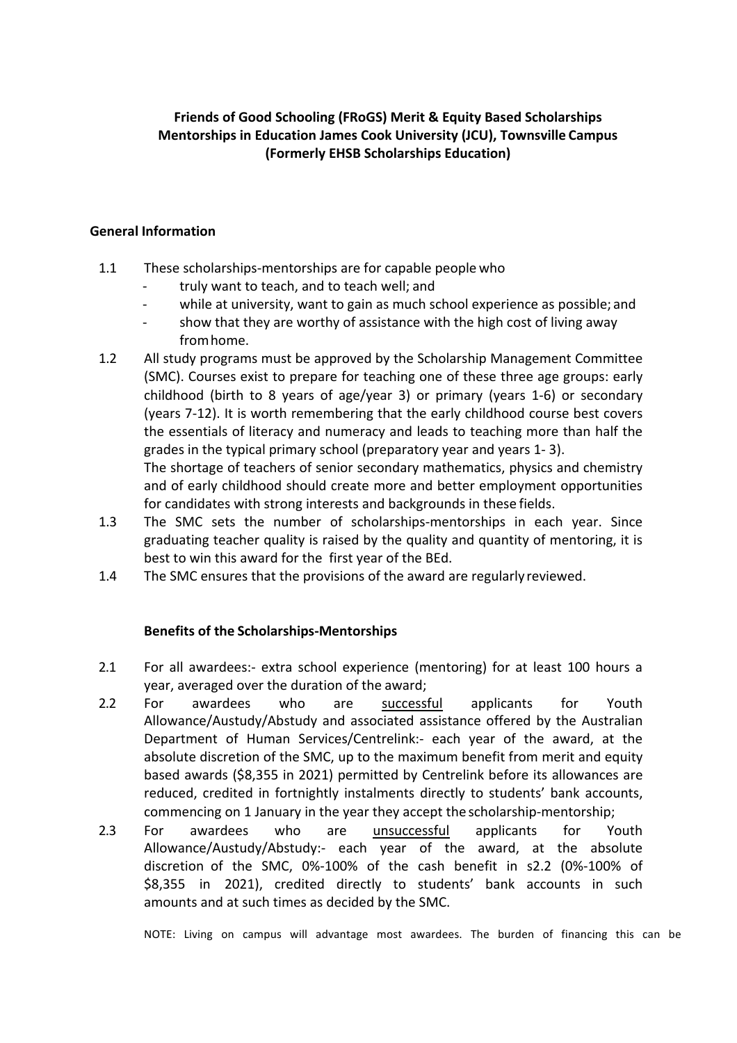# **Friends of Good Schooling (FRoGS) Merit & Equity Based Scholarships Mentorships in Education James Cook University (JCU), Townsville Campus (Formerly EHSB Scholarships Education)**

### **General Information**

- 1.1 These scholarships-mentorships are for capable people who
	- truly want to teach, and to teach well; and
	- while at university, want to gain as much school experience as possible; and
	- show that they are worthy of assistance with the high cost of living away fromhome.
- 1.2 All study programs must be approved by the Scholarship Management Committee (SMC). Courses exist to prepare for teaching one of these three age groups: early childhood (birth to 8 years of age/year 3) or primary (years 1-6) or secondary (years 7-12). It is worth remembering that the early childhood course best covers the essentials of literacy and numeracy and leads to teaching more than half the grades in the typical primary school (preparatory year and years 1-3).

The shortage of teachers of senior secondary mathematics, physics and chemistry and of early childhood should create more and better employment opportunities for candidates with strong interests and backgrounds in these fields.

- 1.3 The SMC sets the number of scholarships-mentorships in each year. Since graduating teacher quality is raised by the quality and quantity of mentoring, it is best to win this award for the first year of the BEd.
- 1.4 The SMC ensures that the provisions of the award are regularly reviewed.

# **Benefits of the Scholarships-Mentorships**

- 2.1 For all awardees:- extra school experience (mentoring) for at least 100 hours a year, averaged over the duration of the award:
- 2.2 For awardees who are successful applicants for Youth Allowance/Austudy/Abstudy and associated assistance offered by the Australian Department of Human Services/Centrelink:- each year of the award, at the absolute discretion of the SMC, up to the maximum benefit from merit and equity based awards (\$8,355 in 2021) permitted by Centrelink before its allowances are reduced, credited in fortnightly instalments directly to students' bank accounts, commencing on 1 January in the year they accept the scholarship-mentorship;
- 2.3 For awardees who are unsuccessful applicants for Youth Allowance/Austudy/Abstudy:- each year of the award, at the absolute discretion of the SMC, 0%-100% of the cash benefit in s2.2 (0%-100% of \$8,355 in 2021), credited directly to students' bank accounts in such amounts and at such times as decided by the SMC.

NOTE: Living on campus will advantage most awardees. The burden of financing this can be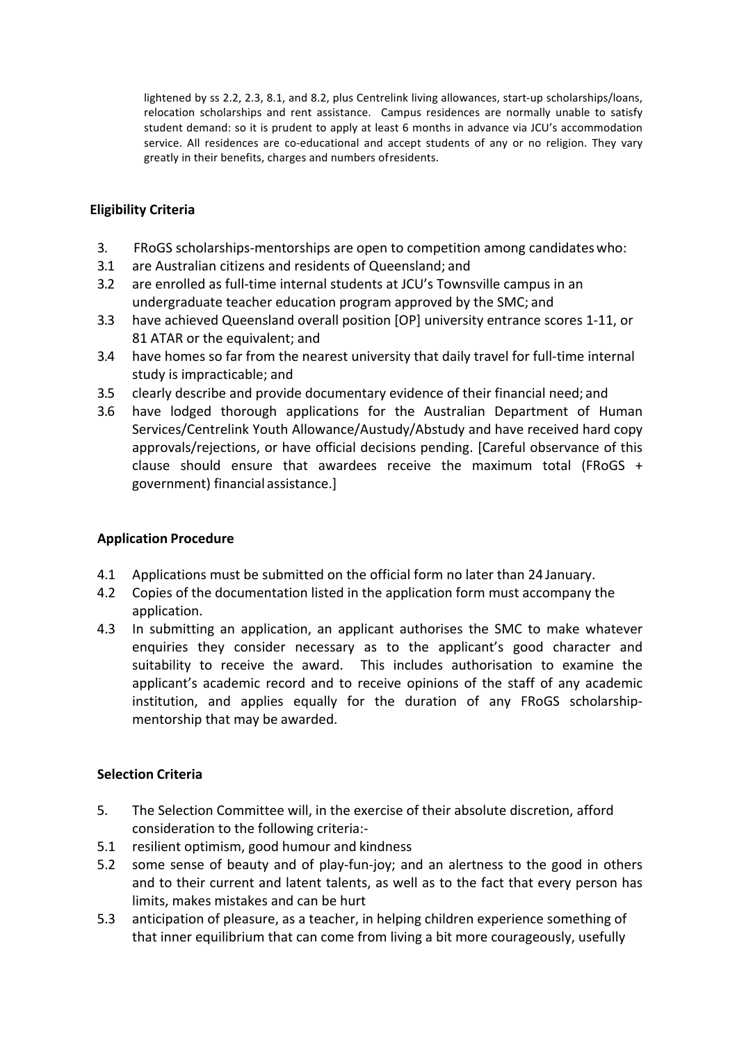lightened by ss 2.2, 2.3, 8.1, and 8.2, plus Centrelink living allowances, start-up scholarships/loans, relocation scholarships and rent assistance. Campus residences are normally unable to satisfy student demand: so it is prudent to apply at least 6 months in advance via JCU's accommodation service. All residences are co-educational and accept students of any or no religion. They vary greatly in their benefits, charges and numbers of residents.

# **Eligibility Criteria**

- 3. FRoGS scholarships-mentorships are open to competition among candidates who:
- 3.1 are Australian citizens and residents of Queensland; and
- 3.2 are enrolled as full-time internal students at JCU's Townsville campus in an undergraduate teacher education program approved by the SMC; and
- 3.3 have achieved Queensland overall position [OP] university entrance scores 1-11, or 81 ATAR or the equivalent; and
- 3.4 have homes so far from the nearest university that daily travel for full-time internal study is impracticable; and
- 3.5 clearly describe and provide documentary evidence of their financial need; and
- 3.6 have lodged thorough applications for the Australian Department of Human Services/Centrelink Youth Allowance/Austudy/Abstudy and have received hard copy approvals/rejections, or have official decisions pending. [Careful observance of this clause should ensure that awardees receive the maximum total (FRoGS + government) financial assistance.]

# **Application Procedure**

- 4.1 Applications must be submitted on the official form no later than 24 January.
- 4.2 Copies of the documentation listed in the application form must accompany the application.
- 4.3 In submitting an application, an applicant authorises the SMC to make whatever enquiries they consider necessary as to the applicant's good character and suitability to receive the award. This includes authorisation to examine the applicant's academic record and to receive opinions of the staff of any academic institution, and applies equally for the duration of any FRoGS scholarshipmentorship that may be awarded.

# **Selection Criteria**

- 5. The Selection Committee will, in the exercise of their absolute discretion, afford consideration to the following criteria:-
- 5.1 resilient optimism, good humour and kindness
- 5.2 some sense of beauty and of play-fun-joy; and an alertness to the good in others and to their current and latent talents, as well as to the fact that every person has limits, makes mistakes and can be hurt
- 5.3 anticipation of pleasure, as a teacher, in helping children experience something of that inner equilibrium that can come from living a bit more courageously, usefully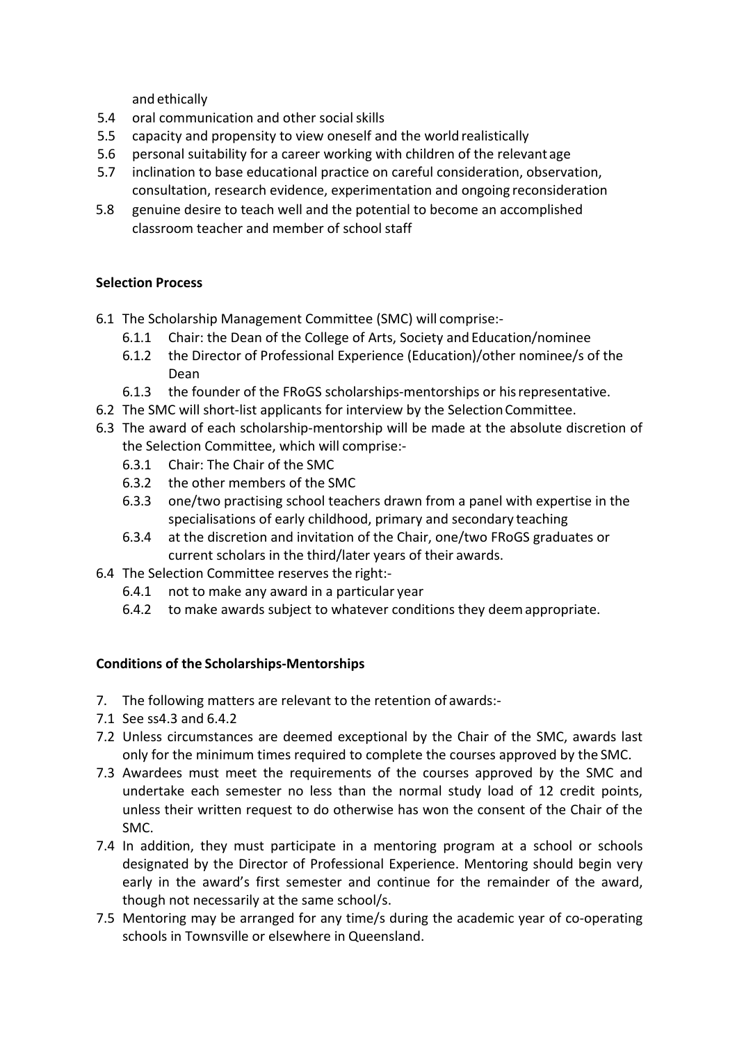and ethically

- 5.4 oral communication and other social skills
- 5.5 capacity and propensity to view oneself and the world realistically
- 5.6 personal suitability for a career working with children of the relevant age
- 5.7 inclination to base educational practice on careful consideration, observation, consultation, research evidence, experimentation and ongoing reconsideration
- 5.8 genuine desire to teach well and the potential to become an accomplished classroom teacher and member of school staff

# **Selection Process**

- 6.1 The Scholarship Management Committee (SMC) will comprise:-
	- 6.1.1 Chair: the Dean of the College of Arts, Society and Education/nominee
	- 6.1.2 the Director of Professional Experience (Education)/other nominee/s of the Dean
	- 6.1.3 the founder of the FRoGS scholarships-mentorships or his representative.
- 6.2 The SMC will short-list applicants for interview by the Selection Committee.
- 6.3 The award of each scholarship-mentorship will be made at the absolute discretion of the Selection Committee, which will comprise:-
	- 6.3.1 Chair: The Chair of the SMC
	- 6.3.2 the other members of the SMC
	- 6.3.3 one/two practising school teachers drawn from a panel with expertise in the specialisations of early childhood, primary and secondary teaching
	- 6.3.4 at the discretion and invitation of the Chair, one/two FRoGS graduates or current scholars in the third/later years of their awards.
- 6.4 The Selection Committee reserves the right:-
	- $6.4.1$  not to make any award in a particular year
	- 6.4.2 to make awards subject to whatever conditions they deem appropriate.

# **Conditions of the Scholarships-Mentorships**

- 7. The following matters are relevant to the retention of awards:-
- 7.1 See ss4.3 and 6.4.2
- 7.2 Unless circumstances are deemed exceptional by the Chair of the SMC, awards last only for the minimum times required to complete the courses approved by the SMC.
- 7.3 Awardees must meet the requirements of the courses approved by the SMC and undertake each semester no less than the normal study load of 12 credit points, unless their written request to do otherwise has won the consent of the Chair of the SMC.
- 7.4 In addition, they must participate in a mentoring program at a school or schools designated by the Director of Professional Experience. Mentoring should begin very early in the award's first semester and continue for the remainder of the award, though not necessarily at the same school/s.
- 7.5 Mentoring may be arranged for any time/s during the academic year of co-operating schools in Townsville or elsewhere in Queensland.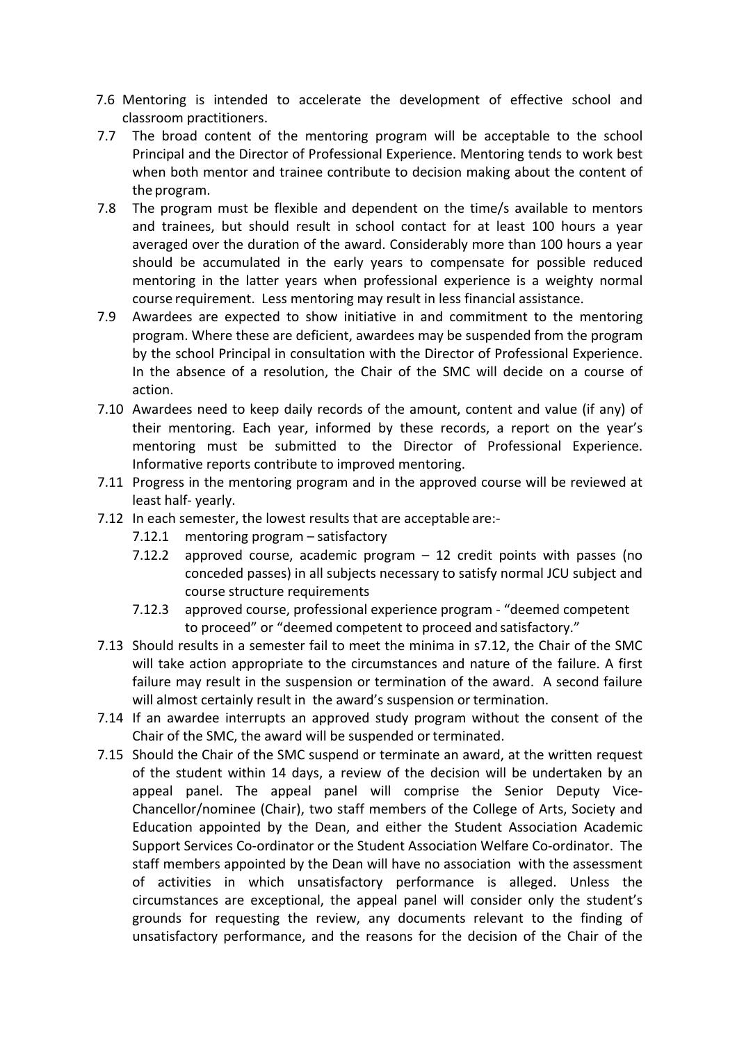- 7.6 Mentoring is intended to accelerate the development of effective school and classroom practitioners.
- 7.7 The broad content of the mentoring program will be acceptable to the school Principal and the Director of Professional Experience. Mentoring tends to work best when both mentor and trainee contribute to decision making about the content of the program.
- 7.8 The program must be flexible and dependent on the time/s available to mentors and trainees, but should result in school contact for at least 100 hours a year averaged over the duration of the award. Considerably more than 100 hours a year should be accumulated in the early years to compensate for possible reduced mentoring in the latter years when professional experience is a weighty normal course requirement. Less mentoring may result in less financial assistance.
- 7.9 Awardees are expected to show initiative in and commitment to the mentoring program. Where these are deficient, awardees may be suspended from the program by the school Principal in consultation with the Director of Professional Experience. In the absence of a resolution, the Chair of the SMC will decide on a course of action.
- 7.10 Awardees need to keep daily records of the amount, content and value (if any) of their mentoring. Each year, informed by these records, a report on the year's mentoring must be submitted to the Director of Professional Experience. Informative reports contribute to improved mentoring.
- 7.11 Progress in the mentoring program and in the approved course will be reviewed at least half- yearly.
- 7.12 In each semester, the lowest results that are acceptable are:-
	- $7.12.1$  mentoring program  $-$  satisfactory
	- 7.12.2 approved course, academic program  $-$  12 credit points with passes (no conceded passes) in all subjects necessary to satisfy normal JCU subject and course structure requirements
	- 7.12.3 approved course, professional experience program "deemed competent" to proceed" or "deemed competent to proceed and satisfactory."
- 7.13 Should results in a semester fail to meet the minima in s7.12, the Chair of the SMC will take action appropriate to the circumstances and nature of the failure. A first failure may result in the suspension or termination of the award. A second failure will almost certainly result in the award's suspension or termination.
- 7.14 If an awardee interrupts an approved study program without the consent of the Chair of the SMC, the award will be suspended or terminated.
- 7.15 Should the Chair of the SMC suspend or terminate an award, at the written request of the student within 14 days, a review of the decision will be undertaken by an appeal panel. The appeal panel will comprise the Senior Deputy Vice-Chancellor/nominee (Chair), two staff members of the College of Arts, Society and Education appointed by the Dean, and either the Student Association Academic Support Services Co-ordinator or the Student Association Welfare Co-ordinator. The staff members appointed by the Dean will have no association with the assessment of activities in which unsatisfactory performance is alleged. Unless the circumstances are exceptional, the appeal panel will consider only the student's grounds for requesting the review, any documents relevant to the finding of unsatisfactory performance, and the reasons for the decision of the Chair of the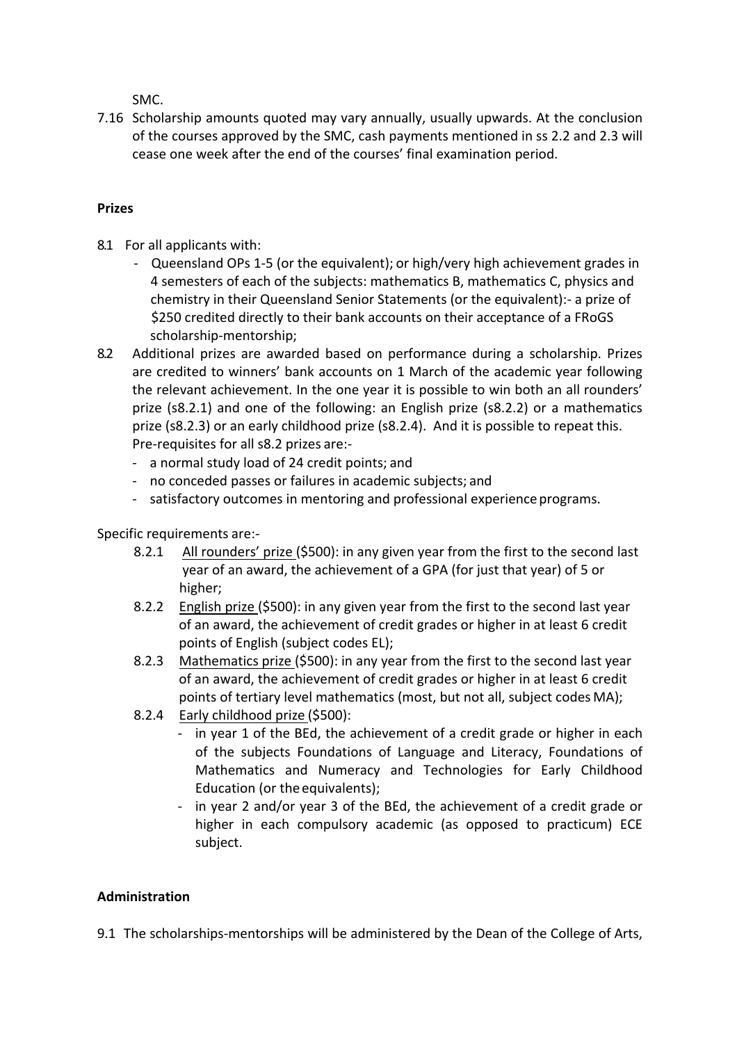SMC. 

7.16 Scholarship amounts quoted may vary annually, usually upwards. At the conclusion of the courses approved by the SMC, cash payments mentioned in ss 2.2 and 2.3 will cease one week after the end of the courses' final examination period.

# **Prizes**

- 8.1 For all applicants with:
	- Queensland OPs 1-5 (or the equivalent); or high/very high achievement grades in 4 semesters of each of the subjects: mathematics B, mathematics C, physics and chemistry in their Queensland Senior Statements (or the equivalent):- a prize of \$250 credited directly to their bank accounts on their acceptance of a FRoGS scholarship-mentorship;
- 8.2 Additional prizes are awarded based on performance during a scholarship. Prizes are credited to winners' bank accounts on 1 March of the academic year following the relevant achievement. In the one year it is possible to win both an all rounders' prize  $(s8.2.1)$  and one of the following: an English prize  $(s8.2.2)$  or a mathematics prize  $(s8.2.3)$  or an early childhood prize  $(s8.2.4)$ . And it is possible to repeat this. Pre-requisites for all s8.2 prizes are:-
	- a normal study load of 24 credit points; and
	- no conceded passes or failures in academic subjects; and
	- satisfactory outcomes in mentoring and professional experience programs.

Specific requirements are:-

- 8.2.1 All rounders' prize (\$500): in any given year from the first to the second last year of an award, the achievement of a GPA (for just that year) of 5 or higher;
- 8.2.2 English prize (\$500): in any given year from the first to the second last year of an award, the achievement of credit grades or higher in at least 6 credit points of English (subject codes EL);
- 8.2.3 Mathematics prize (\$500): in any year from the first to the second last year of an award, the achievement of credit grades or higher in at least 6 credit points of tertiary level mathematics (most, but not all, subject codes MA);
- 8.2.4 Early childhood prize (\$500):
	- in year 1 of the BEd, the achievement of a credit grade or higher in each of the subjects Foundations of Language and Literacy, Foundations of Mathematics and Numeracy and Technologies for Early Childhood Education (or the equivalents);
	- in year 2 and/or year 3 of the BEd, the achievement of a credit grade or higher in each compulsory academic (as opposed to practicum) ECE subject.

# **Administration**

9.1 The scholarships-mentorships will be administered by the Dean of the College of Arts,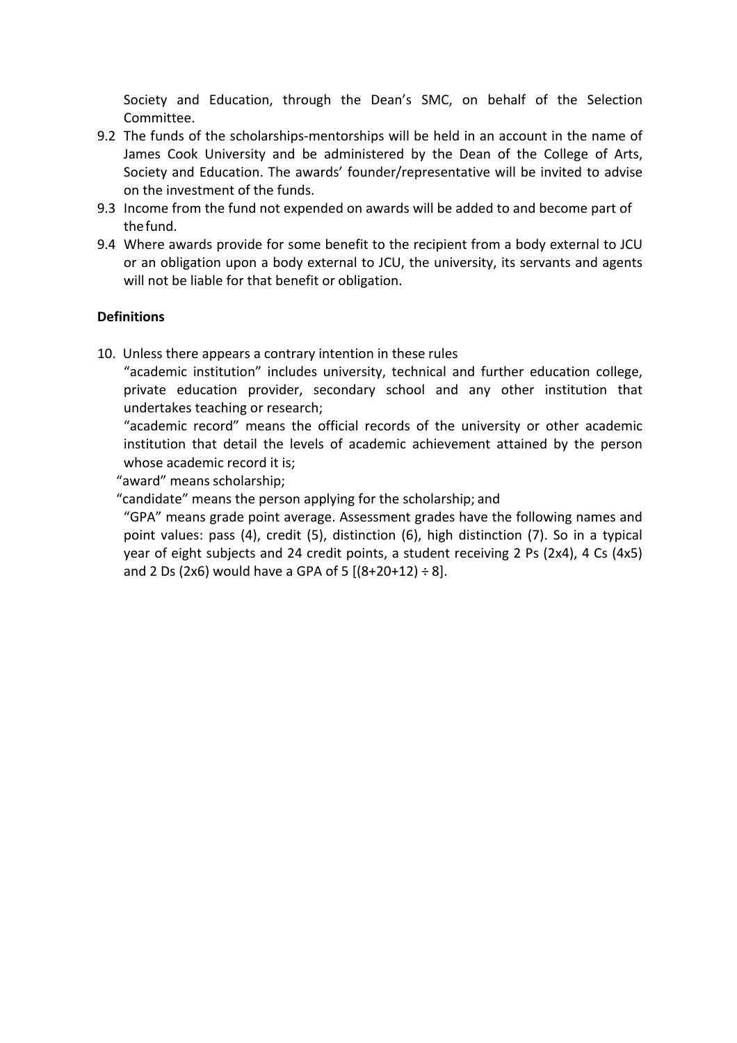Society and Education, through the Dean's SMC, on behalf of the Selection Committee.

- 9.2 The funds of the scholarships-mentorships will be held in an account in the name of James Cook University and be administered by the Dean of the College of Arts, Society and Education. The awards' founder/representative will be invited to advise on the investment of the funds.
- 9.3 Income from the fund not expended on awards will be added to and become part of thefund.
- 9.4 Where awards provide for some benefit to the recipient from a body external to JCU or an obligation upon a body external to JCU, the university, its servants and agents will not be liable for that benefit or obligation.

# **Definitions**

10. Unless there appears a contrary intention in these rules

"academic institution" includes university, technical and further education college, private education provider, secondary school and any other institution that undertakes teaching or research;

"academic record" means the official records of the university or other academic institution that detail the levels of academic achievement attained by the person whose academic record it is;

"award" means scholarship;

"candidate" means the person applying for the scholarship; and

"GPA" means grade point average. Assessment grades have the following names and point values: pass  $(4)$ , credit  $(5)$ , distinction  $(6)$ , high distinction  $(7)$ . So in a typical year of eight subjects and 24 credit points, a student receiving 2 Ps (2x4), 4 Cs (4x5) and 2 Ds (2x6) would have a GPA of 5  $[(8+20+12) \div 8]$ .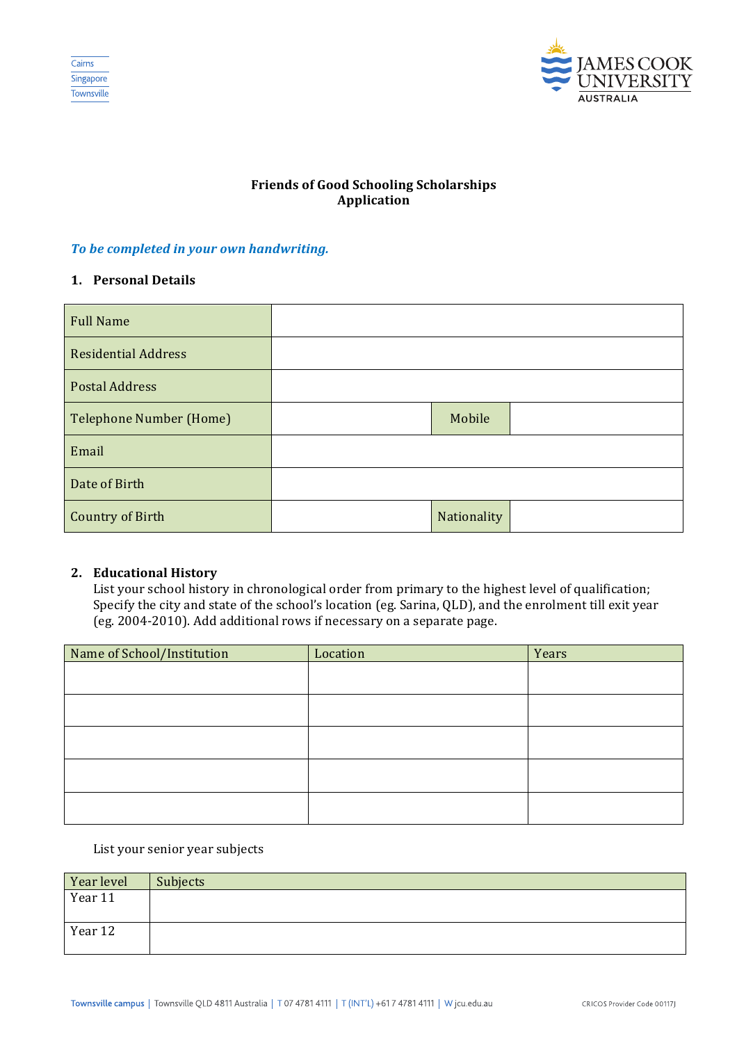



# **Friends of Good Schooling Scholarships Application**

#### **To be completed in your own handwriting.**

### **1. Personal Details**

| <b>Full Name</b>               |             |  |
|--------------------------------|-------------|--|
| <b>Residential Address</b>     |             |  |
| <b>Postal Address</b>          |             |  |
| <b>Telephone Number (Home)</b> | Mobile      |  |
| Email                          |             |  |
| Date of Birth                  |             |  |
| <b>Country of Birth</b>        | Nationality |  |

### **2. Educational History**

List your school history in chronological order from primary to the highest level of qualification; Specify the city and state of the school's location (eg. Sarina, QLD), and the enrolment till exit year (eg. 2004-2010). Add additional rows if necessary on a separate page.

| Name of School/Institution | Location | Years |
|----------------------------|----------|-------|
|                            |          |       |
|                            |          |       |
|                            |          |       |
|                            |          |       |
|                            |          |       |
|                            |          |       |
|                            |          |       |
|                            |          |       |
|                            |          |       |
|                            |          |       |

### List your senior year subjects

| Year level | Subjects |
|------------|----------|
| Year 11    |          |
|            |          |
| Year 12    |          |
|            |          |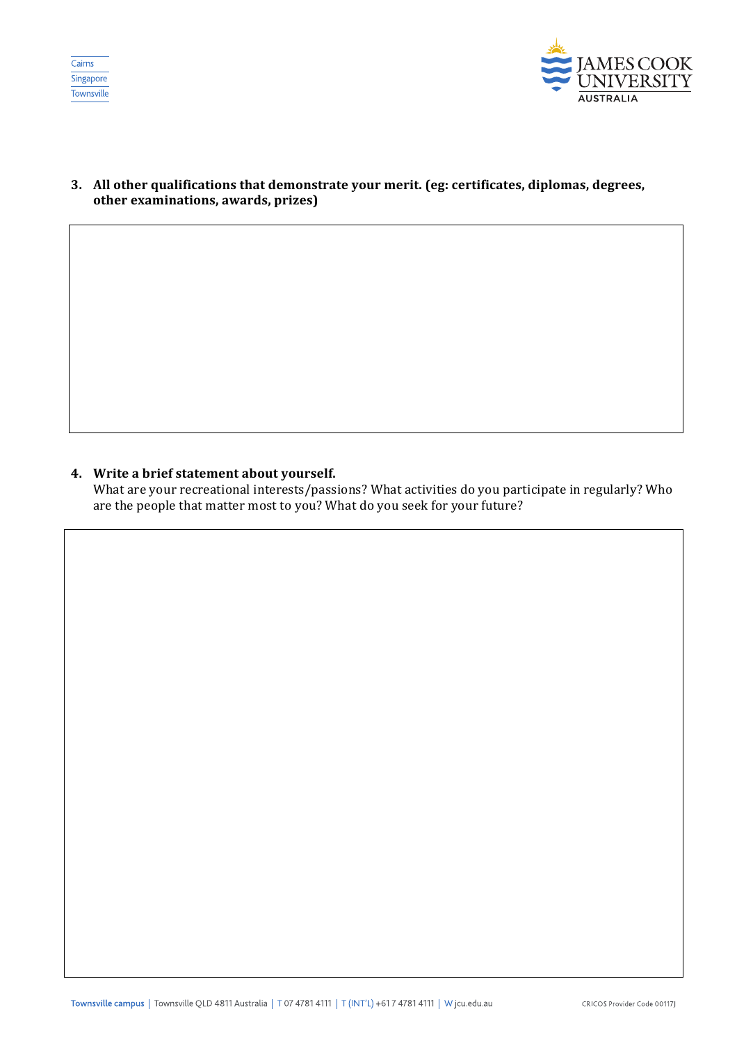



### 3. All other qualifications that demonstrate your merit. (eg: certificates, diplomas, degrees, **other examinations, awards, prizes)**

#### **4.** Write a brief statement about yourself.

What are your recreational interests/passions? What activities do you participate in regularly? Who are the people that matter most to you? What do you seek for your future?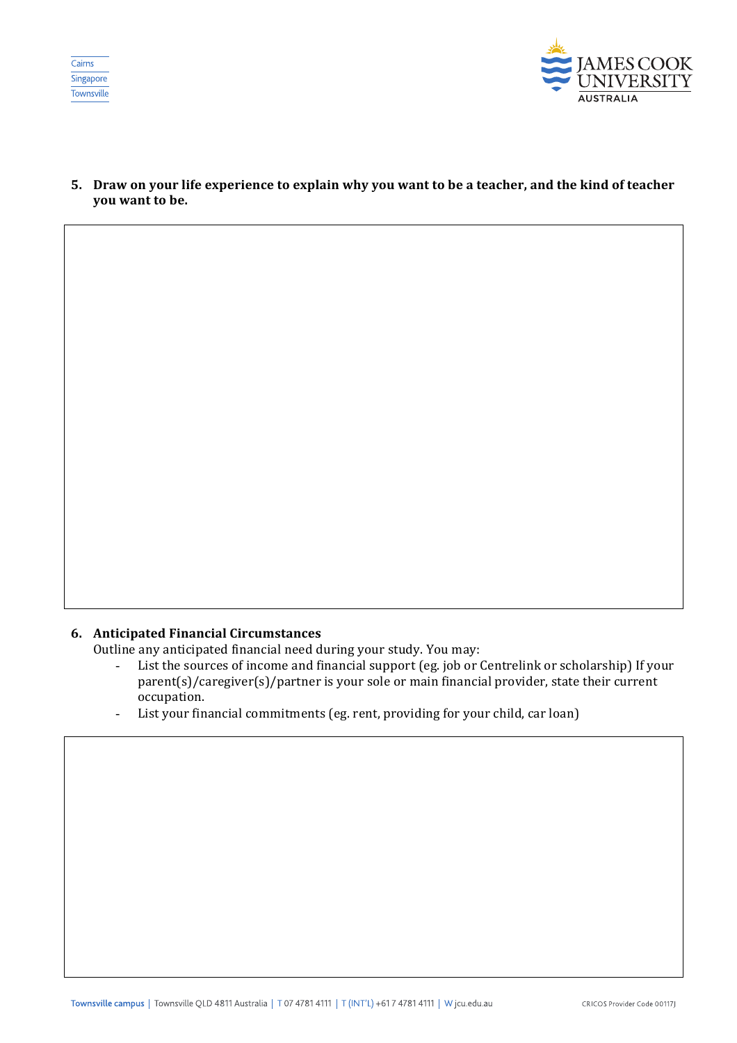



**5.** Draw on your life experience to explain why you want to be a teacher, and the kind of teacher **you** want to be.

### **6. Anticipated Financial Circumstances**

Outline any anticipated financial need during your study. You may:

- List the sources of income and financial support (eg. job or Centrelink or scholarship) If your  $\frac{1}{2}$  parent(s)/caregiver(s)/partner is your sole or main financial provider, state their current occupation.
- List your financial commitments (eg. rent, providing for your child, car loan)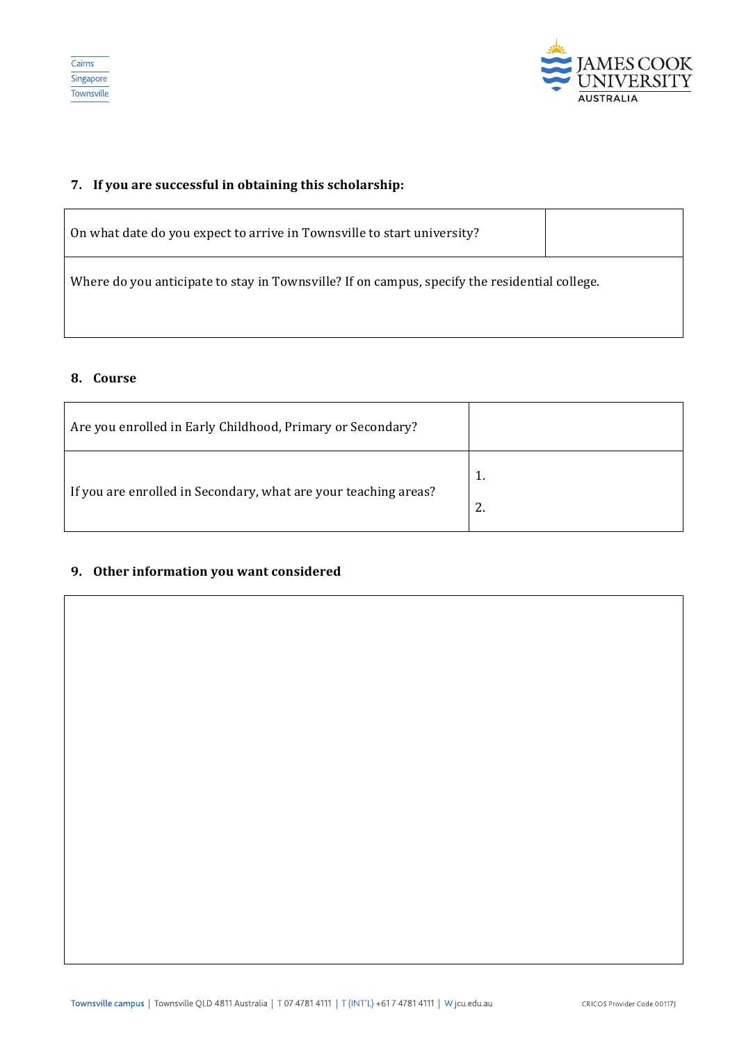



### **7.** If you are successful in obtaining this scholarship:

| On what date do you expect to arrive in Townsville to start university?                       |  |  |  |
|-----------------------------------------------------------------------------------------------|--|--|--|
| Where do you anticipate to stay in Townsville? If on campus, specify the residential college. |  |  |  |
|                                                                                               |  |  |  |

#### **8. Course**

| Are you enrolled in Early Childhood, Primary or Secondary?      |          |
|-----------------------------------------------------------------|----------|
| If you are enrolled in Secondary, what are your teaching areas? | 1.<br>2. |

# **9.** Other information you want considered